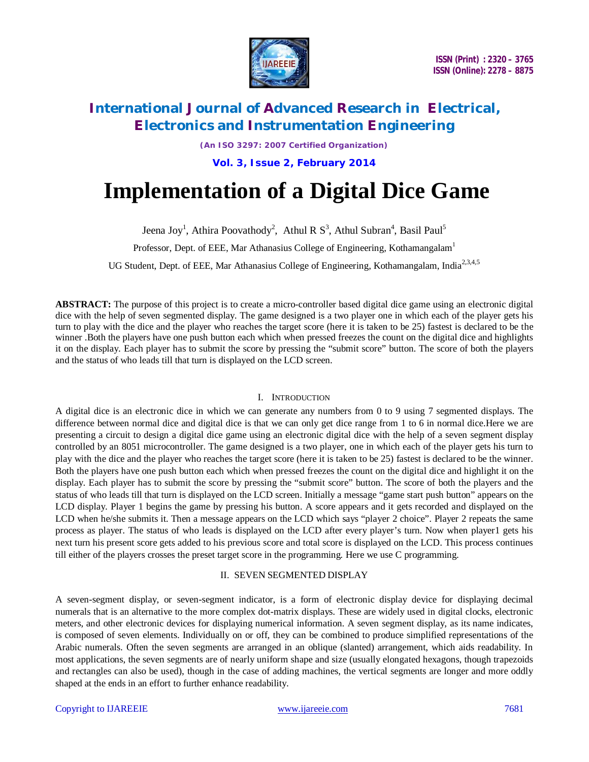

### **International Journal of Advanced Research in Electrical, Electronics and Instrumentation Engineering**

*(An ISO 3297: 2007 Certified Organization)*

**Vol. 3, Issue 2, February 2014**

# **Implementation of a Digital Dice Game**

Jeena Joy<sup>1</sup>, Athira Poovathody<sup>2</sup>, Athul R S<sup>3</sup>, Athul Subran<sup>4</sup>, Basil Paul<sup>5</sup>

Professor, Dept. of EEE, Mar Athanasius College of Engineering, Kothamangalam<sup>1</sup>

UG Student, Dept. of EEE, Mar Athanasius College of Engineering, Kothamangalam, India<sup>2,3,4,5</sup>

**ABSTRACT:** The purpose of this project is to create a micro-controller based digital dice game using an electronic digital dice with the help of seven segmented display. The game designed is a two player one in which each of the player gets his turn to play with the dice and the player who reaches the target score (here it is taken to be 25) fastest is declared to be the winner .Both the players have one push button each which when pressed freezes the count on the digital dice and highlights it on the display. Each player has to submit the score by pressing the "submit score" button. The score of both the players and the status of who leads till that turn is displayed on the LCD screen.

#### I. INTRODUCTION

A digital dice is an electronic dice in which we can generate any numbers from 0 to 9 using 7 segmented displays. The difference between normal dice and digital dice is that we can only get dice range from 1 to 6 in normal dice.Here we are presenting a circuit to design a digital dice game using an electronic digital dice with the help of a seven segment display controlled by an 8051 microcontroller. The game designed is a two player, one in which each of the player gets his turn to play with the dice and the player who reaches the target score (here it is taken to be 25) fastest is declared to be the winner. Both the players have one push button each which when pressed freezes the count on the digital dice and highlight it on the display. Each player has to submit the score by pressing the "submit score" button. The score of both the players and the status of who leads till that turn is displayed on the LCD screen. Initially a message "game start push button" appears on the LCD display. Player 1 begins the game by pressing his button. A score appears and it gets recorded and displayed on the LCD when he/she submits it. Then a message appears on the LCD which says "player 2 choice". Player 2 repeats the same process as player. The status of who leads is displayed on the LCD after every player's turn. Now when player1 gets his next turn his present score gets added to his previous score and total score is displayed on the LCD. This process continues till either of the players crosses the preset target score in the programming*.* Here we use C programming.

#### II. SEVEN SEGMENTED DISPLAY

A seven-segment display, or seven-segment indicator, is a form of electronic display device for displaying decimal numerals that is an alternative to the more complex dot-matrix displays. These are widely used in digital clocks, electronic meters, and other electronic devices for displaying numerical information. A seven segment display, as its name indicates, is composed of seven elements. Individually on or off, they can be combined to produce simplified representations of the Arabic numerals. Often the seven segments are arranged in an oblique (slanted) arrangement, which aids readability. In most applications, the seven segments are of nearly uniform shape and size (usually elongated hexagons, though trapezoids and rectangles can also be used), though in the case of adding machines, the vertical segments are longer and more oddly shaped at the ends in an effort to further enhance readability.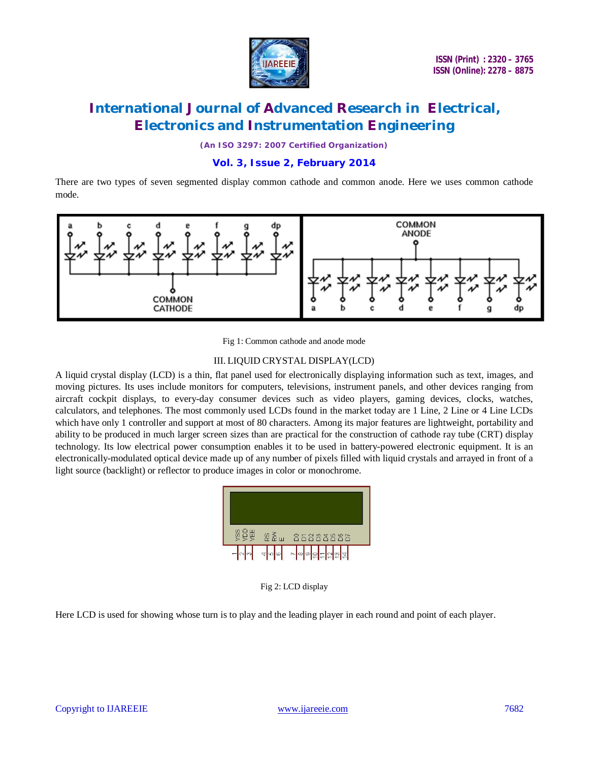

# **International Journal of Advanced Research in Electrical, Electronics and Instrumentation Engineering**

*(An ISO 3297: 2007 Certified Organization)*

### **Vol. 3, Issue 2, February 2014**

There are two types of seven segmented display common cathode and common anode. Here we uses common cathode mode.



Fig 1: Common cathode and anode mode

#### III. LIQUID CRYSTAL DISPLAY(LCD)

A liquid crystal display (LCD) is a thin, flat panel used for electronically displaying information such as text, images, and moving pictures. Its uses include monitors for computers, televisions, instrument panels, and other devices ranging from aircraft cockpit displays, to every-day consumer devices such as video players, gaming devices, clocks, watches, calculators, and telephones. The most commonly used LCDs found in the market today are 1 Line, 2 Line or 4 Line LCDs which have only 1 controller and support at most of 80 characters. Among its major features are lightweight, portability and ability to be produced in much larger screen sizes than are practical for the construction of cathode ray tube (CRT) display technology. Its low electrical power consumption enables it to be used in battery-powered electronic equipment. It is an electronically-modulated optical device made up of any number of pixels filled with liquid crystals and arrayed in front of a light source (backlight) or reflector to produce images in color or monochrome.

| SS<br>SD<br>U  | $22 \times 10^{-10}$ | 8588886          |  |
|----------------|----------------------|------------------|--|
| $\blacksquare$ | 400                  | <b>-</b> 이미모드언업관 |  |

Fig 2: LCD display

Here LCD is used for showing whose turn is to play and the leading player in each round and point of each player.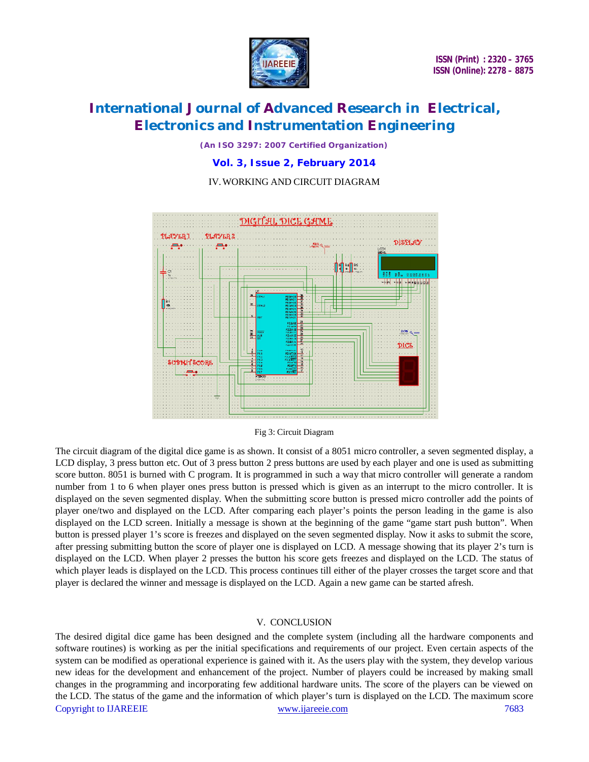

# **International Journal of Advanced Research in Electrical, Electronics and Instrumentation Engineering**

*(An ISO 3297: 2007 Certified Organization)*

**Vol. 3, Issue 2, February 2014**

### IV.WORKING AND CIRCUIT DIAGRAM



#### Fig 3: Circuit Diagram

The circuit diagram of the digital dice game is as shown. It consist of a 8051 micro controller, a seven segmented display, a LCD display, 3 press button etc. Out of 3 press button 2 press buttons are used by each player and one is used as submitting score button. 8051 is burned with C program. It is programmed in such a way that micro controller will generate a random number from 1 to 6 when player ones press button is pressed which is given as an interrupt to the micro controller. It is displayed on the seven segmented display. When the submitting score button is pressed micro controller add the points of player one/two and displayed on the LCD. After comparing each player's points the person leading in the game is also displayed on the LCD screen. Initially a message is shown at the beginning of the game "game start push button". When button is pressed player 1's score is freezes and displayed on the seven segmented display. Now it asks to submit the score, after pressing submitting button the score of player one is displayed on LCD. A message showing that its player 2's turn is displayed on the LCD. When player 2 presses the button his score gets freezes and displayed on the LCD. The status of which player leads is displayed on the LCD. This process continues till either of the player crosses the target score and that player is declared the winner and message is displayed on the LCD. Again a new game can be started afresh.

#### V. CONCLUSION

Copyright to IJAREEIE www.ijareeie.com 7683 The desired digital dice game has been designed and the complete system (including all the hardware components and software routines) is working as per the initial specifications and requirements of our project. Even certain aspects of the system can be modified as operational experience is gained with it. As the users play with the system, they develop various new ideas for the development and enhancement of the project. Number of players could be increased by making small changes in the programming and incorporating few additional hardware units. The score of the players can be viewed on the LCD. The status of the game and the information of which player's turn is displayed on the LCD. The maximum score